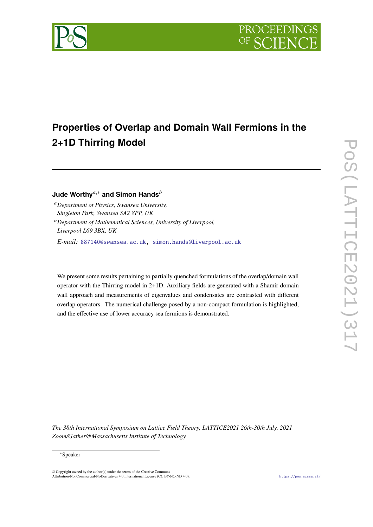



# **Properties of Overlap and Domain Wall Fermions in the 2+1D Thirring Model**

# **Jude Worthy**,<sup>∗</sup> **and Simon Hands**

*Department of Physics, Swansea University, Singleton Park, Swansea SA2 8PP, UK*

*E-mail:* [887140@swansea.ac.uk,](mailto:887140@swansea.ac.uk) [simon.hands@liverpool.ac.uk](mailto:simon.hands@liverpool.ac.uk)

We present some results pertaining to partially quenched formulations of the overlap/domain wall operator with the Thirring model in 2+1D. Auxiliary fields are generated with a Shamir domain wall approach and measurements of eigenvalues and condensates are contrasted with different overlap operators. The numerical challenge posed by a non-compact formulation is highlighted, and the effective use of lower accuracy sea fermions is demonstrated.

*The 38th International Symposium on Lattice Field Theory, LATTICE2021 26th-30th July, 2021 Zoom/Gather@Massachusetts Institute of Technology*

*Department of Mathematical Sciences, University of Liverpool, Liverpool L69 3BX, UK*

<sup>∗</sup>Speaker

<sup>©</sup> Copyright owned by the author(s) under the terms of the Creative Commons Attribution-NonCommercial-NoDerivatives 4.0 International License (CC BY-NC-ND 4.0). <https://pos.sissa.it/>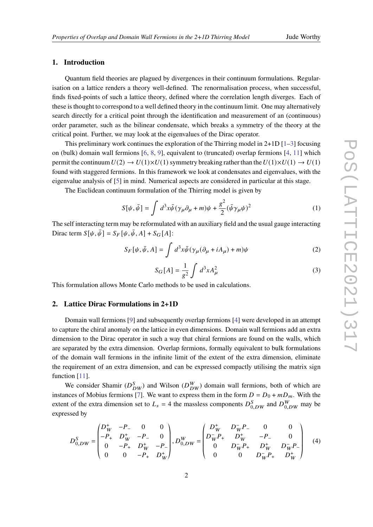# **1. Introduction**

Quantum field theories are plagued by divergences in their continuum formulations. Regularisation on a lattice renders a theory well-defined. The renormalisation process, when successful, finds fixed-points of such a lattice theory, defined where the correlation length diverges. Each of these is thought to correspond to a well defined theory in the continuum limit. One may alternatively search directly for a critical point through the identification and measurement of an (continuous) order parameter, such as the bilinear condensate, which breaks a symmetry of the theory at the critical point. Further, we may look at the eigenvalues of the Dirac operator.

This preliminary work continues the exploration of the Thirring model in  $2+1D$   $[1-3]$  $[1-3]$  focusing on (bulk) domain wall fermions [\[6,](#page-7-2) [8,](#page-7-3) [9\]](#page-7-4), equivalent to (truncated) overlap fermions [\[4,](#page-7-5) [11\]](#page-7-6) which permit the continuum  $U(2) \rightarrow U(1)\times U(1)$  symmetry breaking rather than the  $U(1)\times U(1) \rightarrow U(1)$ found with staggered fermions. In this framework we look at condensates and eigenvalues, with the eigenvalue analysis of [\[5\]](#page-7-7) in mind. Numerical aspects are considered in particular at this stage.

The Euclidean continuum formulation of the Thirring model is given by

$$
S[\psi, \bar{\psi}] = \int d^3x \bar{\psi} (\gamma_\mu \partial_\mu + m)\psi + \frac{g^2}{2} (\bar{\psi} \gamma_\mu \psi)^2
$$
 (1)

The self interacting term may be reformulated with an auxiliary field and the usual gauge interacting Dirac term  $S[\psi, \bar{\psi}] = S_F[\psi, \bar{\psi}, A] + S_G[A]$ :

$$
S_F[\psi, \bar{\psi}, A] = \int d^3x \bar{\psi} (\gamma_\mu (\partial_\mu + iA_\mu) + m)\psi
$$
 (2)

$$
S_G[A] = \frac{1}{g^2} \int d^3x A_\mu^2
$$
 (3)

This formulation allows Monte Carlo methods to be used in calculations.

#### **2. Lattice Dirac Formulations in 2+1D**

Domain wall fermions [\[9\]](#page-7-4) and subsequently overlap fermions [\[4\]](#page-7-5) were developed in an attempt to capture the chiral anomaly on the lattice in even dimensions. Domain wall fermions add an extra dimension to the Dirac operator in such a way that chiral fermions are found on the walls, which are separated by the extra dimension. Overlap fermions, formally equivalent to bulk formulations of the domain wall fermions in the infinite limit of the extent of the extra dimension, eliminate the requirement of an extra dimension, and can be expressed compactly utilising the matrix sign function [\[11\]](#page-7-6).

We consider Shamir ( $D_{DW}^S$ ) and Wilson ( $D_{DW}^W$ ) domain wall fermions, both of which are instances of Mobius fermions [\[7\]](#page-7-8). We want to express them in the form  $D = D_0 + mD_m$ . With the extent of the extra dimension set to  $L_s = 4$  the massless components  $D_{0,DW}^S$  and  $D_{0,DW}^W$  may be expressed by

$$
D_{0,DW}^{S} = \begin{pmatrix} D_W^+ & -P_- & 0 & 0 \\ -P_+ & D_W^+ & -P_- & 0 \\ 0 & -P_+ & D_W^+ & -P_- \\ 0 & 0 & -P_+ & D_W^+ \end{pmatrix}, D_{0,DW}^{W} = \begin{pmatrix} D_W^+ & D_W^- P_- & 0 & 0 \\ D_W^- P_+ & D_W^+ & -P_- & 0 \\ 0 & D_W^- P_+ & D_W^+ & D_W^- P_- \\ 0 & 0 & D_W^- P_+ & D_W^+ \end{pmatrix}
$$
(4)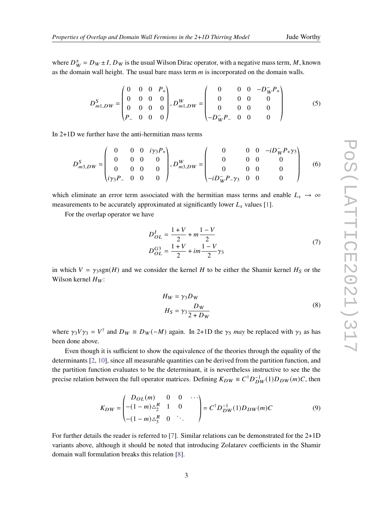where  $D_W^{\pm} = D_W \pm I$ ,  $D_W$  is the usual Wilson Dirac operator, with a negative mass term, M, known as the domain wall height. The usual bare mass term  $m$  is incorporated on the domain walls.

$$
D_{m1,DW}^{S} = \begin{pmatrix} 0 & 0 & 0 & P_{+} \\ 0 & 0 & 0 & 0 \\ 0 & 0 & 0 & 0 \\ P_{-} & 0 & 0 & 0 \end{pmatrix}, D_{m1,DW}^{W} = \begin{pmatrix} 0 & 0 & 0 & -D_{W}^{-}P_{+} \\ 0 & 0 & 0 & 0 \\ 0 & 0 & 0 & 0 \\ -D_{W}^{-}P_{-} & 0 & 0 & 0 \end{pmatrix}
$$
(5)

In 2+1D we further have the anti-hermitian mass terms

$$
D_{m3,DW}^{S} = \begin{pmatrix} 0 & 0 & 0 & i\gamma_3 P_+ \\ 0 & 0 & 0 & 0 \\ 0 & 0 & 0 & 0 \\ i\gamma_3 P_- & 0 & 0 & 0 \end{pmatrix}, D_{m3,DW}^{W} = \begin{pmatrix} 0 & 0 & 0 & -iD_W^- P_+ \gamma_3 \\ 0 & 0 & 0 & 0 \\ 0 & 0 & 0 & 0 \\ -iD_W^- P_- \gamma_3 & 0 & 0 & 0 \end{pmatrix}
$$
 (6)

which eliminate an error term associated with the hermitian mass terms and enable  $L_s \rightarrow \infty$ measurements to be accurately approximated at significantly lower  $L_s$  values [\[1\]](#page-7-0).

<span id="page-2-0"></span>For the overlap operator we have

$$
D_{OL}^{I} = \frac{1+V}{2} + m\frac{1-V}{2}
$$
  
\n
$$
D_{OL}^{G3} = \frac{1+V}{2} + im\frac{1-V}{2}\gamma_3
$$
\n(7)

in which  $V = \gamma_3 \text{sgn}(H)$  and we consider the kernel H to be either the Shamir kernel H<sub>S</sub> or the Wilson kernel  $H_W$ :

$$
H_W = \gamma_3 D_W
$$
  
\n
$$
H_S = \gamma_3 \frac{D_W}{2 + D_W}
$$
\n(8)

where  $\gamma_3 V \gamma_3 = V^{\dagger}$  and  $D_W \equiv D_W(-M)$  again. In 2+1D the  $\gamma_5$  *may* be replaced with  $\gamma_3$  as has been done above.

Even though it is sufficient to show the equivalence of the theories through the equality of the determinants [\[2,](#page-7-9) [10\]](#page-7-10), since all measurable quantities can be derived from the partition function, and the partition function evaluates to be the determinant, it is nevertheless instructive to see the the precise relation between the full operator matrices. Defining  $K_{DW} \equiv C^{\dagger} D_{DW}^{-1}(1) D_{DW}(m)C$ , then

$$
K_{DW} = \begin{pmatrix} D_{OL}(m) & 0 & 0 & \cdots \\ -(1-m)\Delta_2^R & 1 & 0 \\ -(1-m)\Delta_3^R & 0 & \cdots \end{pmatrix} = C^{\dagger} D_{DW}^{-1}(1) D_{DW}(m) C \tag{9}
$$

For further details the reader is referred to [\[7\]](#page-7-8). Similar relations can be demonstrated for the 2+1D variants above, although it should be noted that introducing Zolatarev coefficients in the Shamir domain wall formulation breaks this relation [\[8\]](#page-7-3).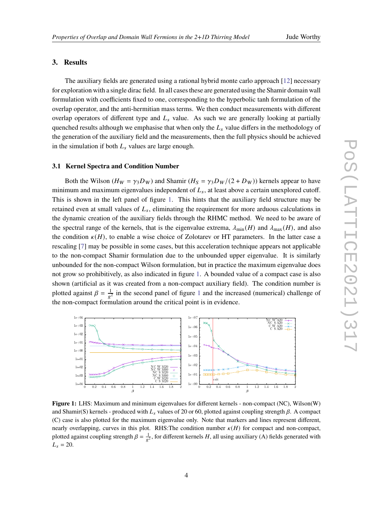### **3. Results**

The auxiliary fields are generated using a rational hybrid monte carlo approach [\[12\]](#page-7-11) necessary for exploration with a single dirac field. In all cases these are generated using the Shamir domain wall formulation with coefficients fixed to one, corresponding to the hyperbolic tanh formulation of the overlap operator, and the anti-hermitian mass terms. We then conduct measurements with different overlap operators of different type and  $L<sub>s</sub>$  value. As such we are generally looking at partially quenched results although we emphasise that when only the  $L<sub>s</sub>$  value differs in the methodology of the generation of the auxiliary field and the measurements, then the full physics should be achieved in the simulation if both  $L<sub>s</sub>$  values are large enough.

#### **3.1 Kernel Spectra and Condition Number**

Both the Wilson ( $H_W = \gamma_3 D_W$ ) and Shamir ( $H_S = \gamma_3 D_W/(2 + D_W)$ ) kernels appear to have minimum and maximum eigenvalues independent of  $L_s$ , at least above a certain unexplored cutoff. This is shown in the left panel of figure [1.](#page-3-0) This hints that the auxiliary field structure may be retained even at small values of  $L_s$ , eliminating the requirement for more arduous calculations in the dynamic creation of the auxiliary fields through the RHMC method. We need to be aware of the spectral range of the kernels, that is the eigenvalue extrema,  $\lambda_{\min}(H)$  and  $\lambda_{\max}(H)$ , and also the condition  $\kappa(H)$ , to enable a wise choice of Zolotarev or HT parameters. In the latter case a rescaling [\[7\]](#page-7-8) may be possible in some cases, but this acceleration technique appears not applicable to the non-compact Shamir formulation due to the unbounded upper eigenvalue. It is similarly unbounded for the non-compact Wilson formulation, but in practice the maximum eigenvalue does not grow so prohibitively, as also indicated in figure [1.](#page-3-0) A bounded value of a compact case is also shown (artificial as it was created from a non-compact auxiliary field). The condition number is plotted against  $\beta = \frac{1}{g^2}$  $\beta = \frac{1}{g^2}$  $\beta = \frac{1}{g^2}$  in the second panel of figure 1 and the increased (numerical) challenge of the non-compact formulation around the critical point is in evidence.

<span id="page-3-0"></span>

**Figure 1:** LHS: Maximum and minimum eigenvalues for different kernels - non-compact (NC), Wilson(W) and Shamir(S) kernels - produced with  $L_s$  values of 20 or 60, plotted against coupling strength  $\beta$ . A compact (C) case is also plotted for the maximum eigenvalue only. Note that markers and lines represent different, nearly overlapping, curves in this plot. RHS: The condition number  $\kappa(H)$  for compact and non-compact, plotted against coupling strength  $\beta = \frac{1}{g^2}$ , for different kernels H, all using auxiliary (A) fields generated with  $L_s = 20.$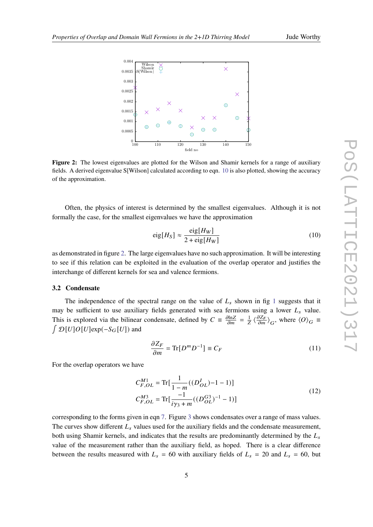<span id="page-4-1"></span>

**Figure 2:** The lowest eigenvalues are plotted for the Wilson and Shamir kernels for a range of auxiliary fields. A derived eigenvalue S[Wilson] calculated according to eqn. [10](#page-4-0) is also plotted, showing the accuracy of the approximation.

Often, the physics of interest is determined by the smallest eigenvalues. Although it is not formally the case, for the smallest eigenvalues we have the approximation

<span id="page-4-0"></span>
$$
eig[HS] \approx \frac{eig[HW]}{2 + eig[HW]}
$$
\n(10)

as demonstrated in figure [2.](#page-4-1) The large eigenvalues have no such approximation. It will be interesting to see if this relation can be exploited in the evaluation of the overlap operator and justifies the interchange of different kernels for sea and valence fermions.

#### **3.2 Condensate**

The independence of the spectral range on the value of  $L_s$  shown in fig [1](#page-3-0) suggests that it may be sufficient to use auxiliary fields generated with sea fermions using a lower  $L<sub>s</sub>$  value. This is explored via the bilinear condensate, defined by  $C = \frac{\partial \ln Z}{\partial m} = \frac{1}{Z} \langle \frac{\partial Z_F}{\partial m} \rangle_G$ , where  $\langle O \rangle_G =$  $\int \mathcal{D}[U] O[U] exp(-S_G[U])$  and

$$
\frac{\partial Z_F}{\partial m} = \text{Tr}[D^m D^{-1}] \equiv C_F \tag{11}
$$

For the overlap operators we have

$$
C_{F,OL}^{M1} = \text{Tr}[\frac{1}{1-m}((D_{OL}^{I})-1-1)]
$$
  
\n
$$
C_{F,OL}^{M3} = \text{Tr}[\frac{-1}{i\gamma_3+m}((D_{OL}^{G3})^{-1}-1)]
$$
\n(12)

corresponding to the forms given in eqn [7.](#page-2-0) Figure [3](#page-5-0) shows condensates over a range of mass values. The curves show different  $L<sub>s</sub>$  values used for the auxiliary fields and the condensate measurement, both using Shamir kernels, and indicates that the results are predominantly determined by the  $L_s$ value of the measurement rather than the auxiliary field, as hoped. There is a clear difference between the results measured with  $L_s = 60$  with auxiliary fields of  $L_s = 20$  and  $L_s = 60$ , but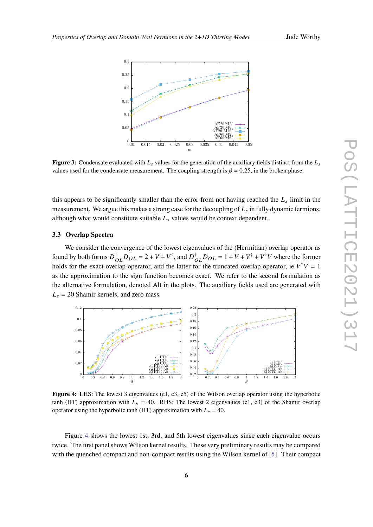<span id="page-5-0"></span>

**Figure 3:** Condensate evaluated with  $L_s$  values for the generation of the auxiliary fields distinct from the  $L_s$ values used for the condensate measurement. The coupling strength is  $\beta = 0.25$ , in the broken phase.

this appears to be significantly smaller than the error from not having reached the  $L_s$  limit in the measurement. We argue this makes a strong case for the decoupling of  $L_s$  in fully dynamic fermions, although what would constitute suitable  $L<sub>s</sub>$  values would be context dependent.

#### **3.3 Overlap Spectra**

We consider the convergence of the lowest eigenvalues of the (Hermitian) overlap operator as found by both forms  $D_{OL}^{\dagger}D_{OL} = 2 + V + V^{\dagger}$ , and  $D_{OL}^{\dagger}D_{OL} = 1 + V + V^{\dagger} + V^{\dagger}V$  where the former holds for the exact overlap operator, and the latter for the truncated overlap operator, ie  $V^{\dagger}V = 1$ as the approximation to the sign function becomes exact. We refer to the second formulation as the alternative formulation, denoted Alt in the plots. The auxiliary fields used are generated with  $L<sub>s</sub> = 20$  Shamir kernels, and zero mass.

<span id="page-5-1"></span>

**Figure 4:** LHS: The lowest 3 eigenvalues (e1, e3, e5) of the Wilson overlap operator using the hyperbolic tanh (HT) approximation with  $L_s = 40$ . RHS: The lowest 2 eigenvalues (e1, e3) of the Shamir overlap operator using the hyperbolic tanh (HT) approximation with  $L_s = 40$ .

Figure [4](#page-5-1) shows the lowest 1st, 3rd, and 5th lowest eigenvalues since each eigenvalue occurs twice. The first panel shows Wilson kernel results. These very preliminary results may be compared with the quenched compact and non-compact results using the Wilson kernel of [\[5\]](#page-7-7). Their compact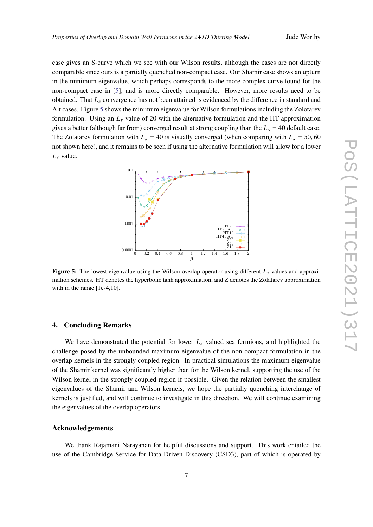case gives an S-curve which we see with our Wilson results, although the cases are not directly comparable since ours is a partially quenched non-compact case. Our Shamir case shows an upturn in the minimum eigenvalue, which perhaps corresponds to the more complex curve found for the non-compact case in [\[5\]](#page-7-7), and is more directly comparable. However, more results need to be obtained. That  $L<sub>s</sub>$  convergence has not been attained is evidenced by the difference in standard and Alt cases. Figure [5](#page-6-0) shows the minimum eigenvalue for Wilson formulations including the Zolotarev formulation. Using an  $L<sub>s</sub>$  value of 20 with the alternative formulation and the HT approximation gives a better (although far from) converged result at strong coupling than the  $L_s = 40$  default case. The Zolatarev formulation with  $L_s = 40$  is visually converged (when comparing with  $L_s = 50,60$ not shown here), and it remains to be seen if using the alternative formulation will allow for a lower  $L_s$  value.

<span id="page-6-0"></span>

**Figure 5:** The lowest eigenvalue using the Wilson overlap operator using different  $L_s$  values and approximation schemes. HT denotes the hyperbolic tanh approximation, and Z denotes the Zolatarev approximation with in the range [1e-4,10].

# **4. Concluding Remarks**

We have demonstrated the potential for lower  $L_s$  valued sea fermions, and highlighted the challenge posed by the unbounded maximum eigenvalue of the non-compact formulation in the overlap kernels in the strongly coupled region. In practical simulations the maximum eigenvalue of the Shamir kernel was significantly higher than for the Wilson kernel, supporting the use of the Wilson kernel in the strongly coupled region if possible. Given the relation between the smallest eigenvalues of the Shamir and Wilson kernels, we hope the partially quenching interchange of kernels is justified, and will continue to investigate in this direction. We will continue examining the eigenvalues of the overlap operators.

#### **Acknowledgements**

We thank Rajamani Narayanan for helpful discussions and support. This work entailed the use of the Cambridge Service for Data Driven Discovery (CSD3), part of which is operated by